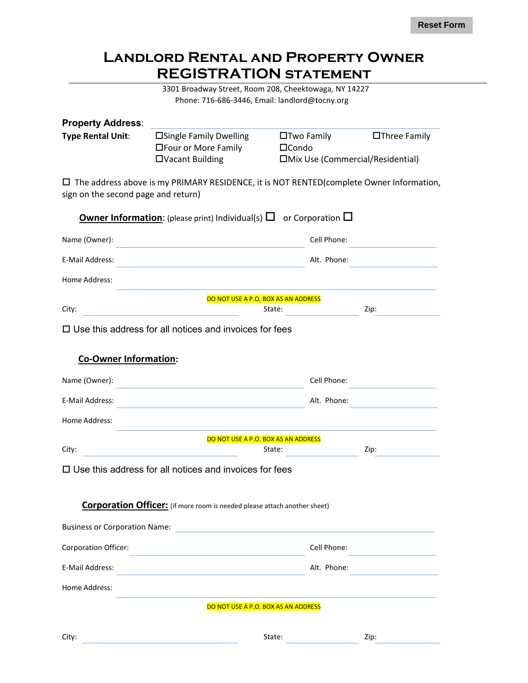## **Landlord Rental and Property Owner REGISTRATION statement**

3301 Broadway Street, Room 208, Cheektowaga, NY 14227 Phone: 716-686-3446, Email: landlord@tocny.org

| <b>Property Address:</b>            |                                                                                                |              |                   |                                   |  |
|-------------------------------------|------------------------------------------------------------------------------------------------|--------------|-------------------|-----------------------------------|--|
| <b>Type Rental Unit:</b>            | □ Single Family Dwelling<br>□Four or More Family                                               | $\Box$ Condo | $\Box$ Two Family | $\Box$ Three Family               |  |
|                                     | □Vacant Building                                                                               |              |                   | □Mix Use (Commercial/Residential) |  |
| sign on the second page and return) | $\Box$ The address above is my PRIMARY RESIDENCE, it is NOT RENTED(complete Owner Information, |              |                   |                                   |  |
|                                     |                                                                                                |              |                   |                                   |  |
|                                     | <b>Owner Information:</b> (please print) Individual(s) $\Box$ or Corporation $\Box$            |              |                   |                                   |  |
| Name (Owner):                       |                                                                                                |              | Cell Phone:       |                                   |  |
| E-Mail Address:                     |                                                                                                |              | Alt. Phone:       |                                   |  |
| Home Address:                       |                                                                                                |              |                   |                                   |  |
|                                     | DO NOT USE A P.O. BOX AS AN ADDRESS                                                            |              |                   |                                   |  |
| City:                               |                                                                                                | State:       |                   | Zip:                              |  |
|                                     | $\Box$ Use this address for all notices and invoices for fees                                  |              |                   |                                   |  |
| <b>Co-Owner Information:</b>        |                                                                                                |              |                   |                                   |  |
|                                     |                                                                                                |              |                   |                                   |  |
| Name (Owner):                       |                                                                                                |              | Cell Phone:       |                                   |  |
| <b>E-Mail Address:</b>              |                                                                                                |              | Alt. Phone:       |                                   |  |
| Home Address:                       |                                                                                                |              |                   |                                   |  |
|                                     | DO NOT USE A P.O. BOX AS AN ADDRESS                                                            |              |                   |                                   |  |
| City:                               |                                                                                                | State:       |                   | Zip:                              |  |
|                                     | $\Box$ Use this address for all notices and invoices for fees                                  |              |                   |                                   |  |
|                                     |                                                                                                |              |                   |                                   |  |
|                                     | <b>Corporation Officer:</b> (if more room is needed please attach another sheet)               |              |                   |                                   |  |
|                                     | Business or Corporation Name:                                                                  |              |                   |                                   |  |
| <b>Corporation Officer:</b>         |                                                                                                |              | Cell Phone:       |                                   |  |
| E-Mail Address:                     |                                                                                                |              | Alt. Phone:       |                                   |  |

Home Address:

DO NOT USE A P.O. BOX AS AN ADDRESS